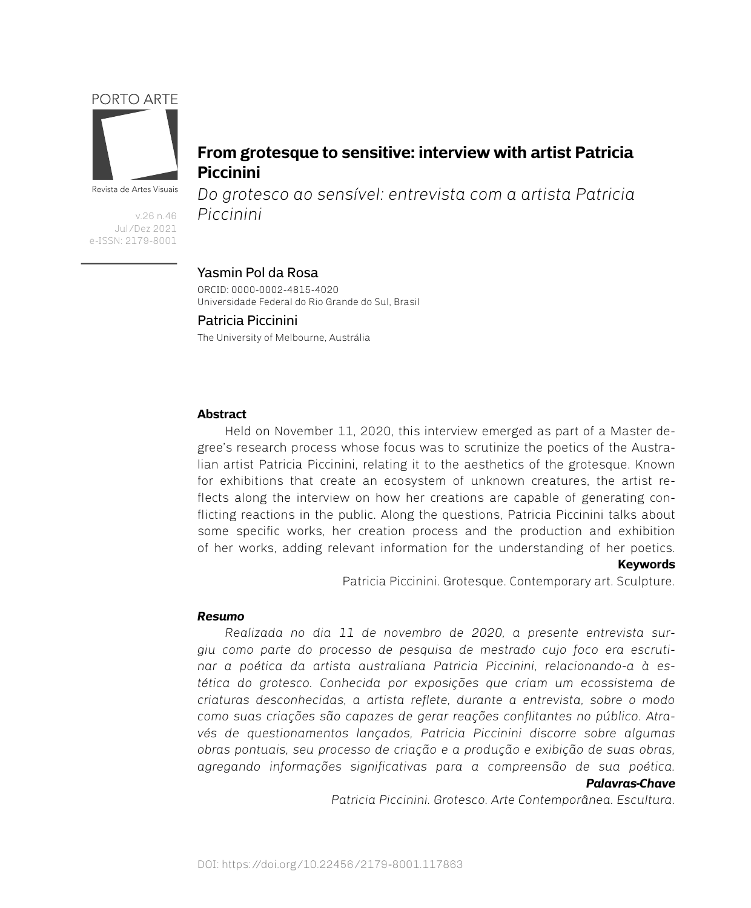## PORTO ARTE



Revista de Artes Visuais

v.26 n.46 Jul/Dez 2021 e-ISSN: 2179-8001

# **From grotesque to sensitive: interview with artist Patricia Piccinini**

*Do grotesco ao sensível: entrevista com a artista Patricia Piccinini*

## Yasmin Pol da Rosa

ORCID: 0000-0002-4815-4020 Universidade Federal do Rio Grande do Sul, Brasil

## The University of Melbourne, Austrália Patricia Piccinini

## **Abstract**

Held on November 11, 2020, this interview emerged as part of a Master degree's research process whose focus was to scrutinize the poetics of the Australian artist Patricia Piccinini, relating it to the aesthetics of the grotesque. Known for exhibitions that create an ecosystem of unknown creatures, the artist reflects along the interview on how her creations are capable of generating conflicting reactions in the public. Along the questions, Patricia Piccinini talks about some specific works, her creation process and the production and exhibition of her works, adding relevant information for the understanding of her poetics.

## **Keywords**

Patricia Piccinini. Grotesque. Contemporary art. Sculpture.

## *Resumo*

*Realizada no dia 11 de novembro de 2020, a presente entrevista surgiu como parte do processo de pesquisa de mestrado cujo foco era escrutinar a poética da artista australiana Patricia Piccinini, relacionando-a à estética do grotesco. Conhecida por exposições que criam um ecossistema de criaturas desconhecidas, a artista reflete, durante a entrevista, sobre o modo como suas criações são capazes de gerar reações conflitantes no público. Através de questionamentos lançados, Patricia Piccinini discorre sobre algumas obras pontuais, seu processo de criação e a produção e exibição de suas obras, agregando informações significativas para a compreensão de sua poética. Palavras-Chave*

*Patricia Piccinini. Grotesco. Arte Contemporânea. Escultura.*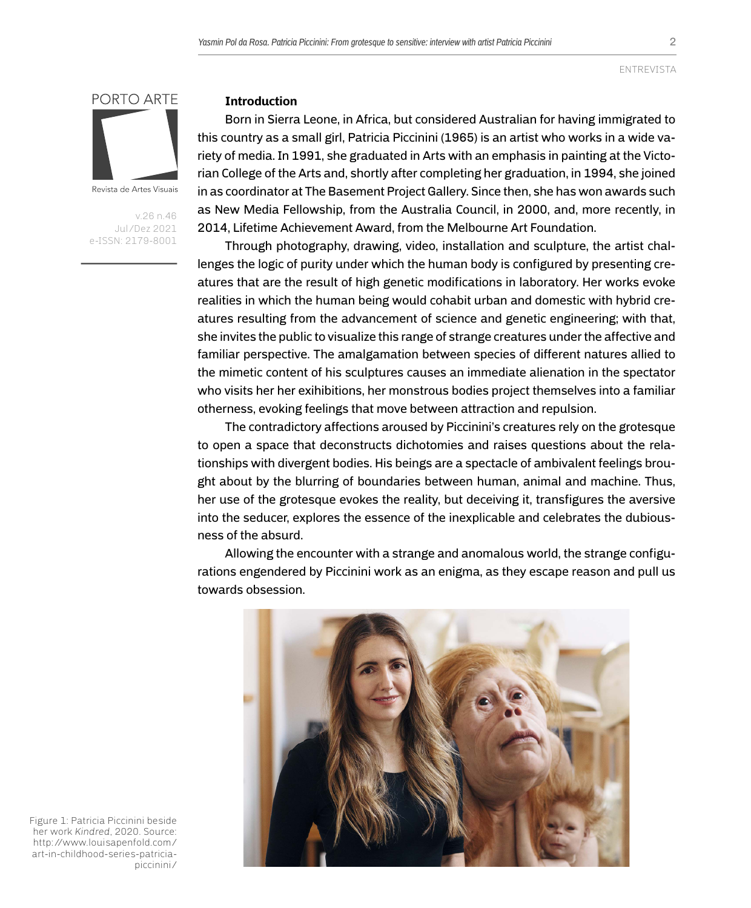2

ENTREVISTA



Revista de Artes Visuais

v.26 n.46 Jul/Dez 2021 e-ISSN: 2179-8001

#### **Introduction**

Born in Sierra Leone, in Africa, but considered Australian for having immigrated to this country as a small girl, Patricia Piccinini (1965) is an artist who works in a wide variety of media. In 1991, she graduated in Arts with an emphasis in painting at the Victorian College of the Arts and, shortly after completing her graduation, in 1994, she joined in as coordinator at The Basement Project Gallery. Since then, she has won awards such as New Media Fellowship, from the Australia Council, in 2000, and, more recently, in 2014, Lifetime Achievement Award, from the Melbourne Art Foundation.

Through photography, drawing, video, installation and sculpture, the artist challenges the logic of purity under which the human body is configured by presenting creatures that are the result of high genetic modifications in laboratory. Her works evoke realities in which the human being would cohabit urban and domestic with hybrid creatures resulting from the advancement of science and genetic engineering; with that, she invites the public to visualize this range of strange creatures under the affective and familiar perspective. The amalgamation between species of different natures allied to the mimetic content of his sculptures causes an immediate alienation in the spectator who visits her her exihibitions, her monstrous bodies project themselves into a familiar otherness, evoking feelings that move between attraction and repulsion.

The contradictory affections aroused by Piccinini's creatures rely on the grotesque to open a space that deconstructs dichotomies and raises questions about the relationships with divergent bodies. His beings are a spectacle of ambivalent feelings brought about by the blurring of boundaries between human, animal and machine. Thus, her use of the grotesque evokes the reality, but deceiving it, transfigures the aversive into the seducer, explores the essence of the inexplicable and celebrates the dubiousness of the absurd.

Allowing the encounter with a strange and anomalous world, the strange configurations engendered by Piccinini work as an enigma, as they escape reason and pull us towards obsession.



Figure 1: Patricia Piccinini beside her work *Kindred*, 2020. Source: [http://www.louisapenfold.com/](http://www.louisapenfold.com/art-in-childhood-series-patricia-piccinini/) [art-in-childhood-series-patricia](http://www.louisapenfold.com/art-in-childhood-series-patricia-piccinini/)[piccinini/](http://www.louisapenfold.com/art-in-childhood-series-patricia-piccinini/)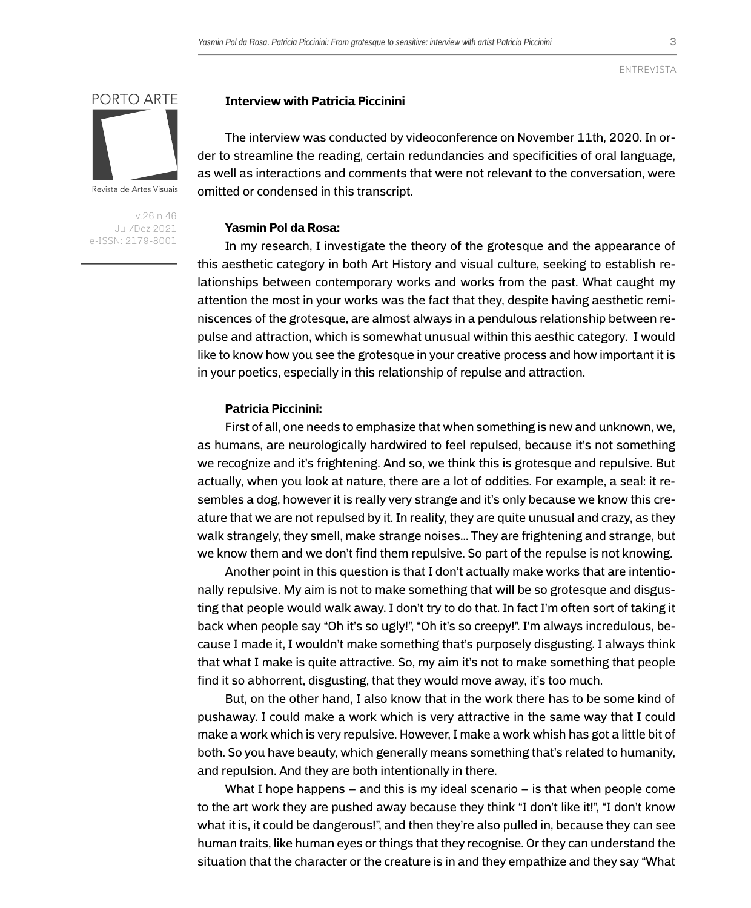3

# PORTO ARTE

Revista de Artes Visuais

v.26 n.46 Jul/Dez 2021 e-ISSN: 2179-8001

## **Interview with Patricia Piccinini**

The interview was conducted by videoconference on November 11th, 2020. In order to streamline the reading, certain redundancies and specificities of oral language, as well as interactions and comments that were not relevant to the conversation, were omitted or condensed in this transcript.

## **Yasmin Pol da Rosa:**

In my research, I investigate the theory of the grotesque and the appearance of this aesthetic category in both Art History and visual culture, seeking to establish relationships between contemporary works and works from the past. What caught my attention the most in your works was the fact that they, despite having aesthetic reminiscences of the grotesque, are almost always in a pendulous relationship between repulse and attraction, which is somewhat unusual within this aesthic category. I would like to know how you see the grotesque in your creative process and how important it is in your poetics, especially in this relationship of repulse and attraction.

#### **Patricia Piccinini:**

First of all, one needs to emphasize that when something is new and unknown, we, as humans, are neurologically hardwired to feel repulsed, because it's not something we recognize and it's frightening. And so, we think this is grotesque and repulsive. But actually, when you look at nature, there are a lot of oddities. For example, a seal: it resembles a dog, however it is really very strange and it's only because we know this creature that we are not repulsed by it. In reality, they are quite unusual and crazy, as they walk strangely, they smell, make strange noises... They are frightening and strange, but we know them and we don't find them repulsive. So part of the repulse is not knowing.

Another point in this question is that I don't actually make works that are intentionally repulsive. My aim is not to make something that will be so grotesque and disgusting that people would walk away. I don't try to do that. In fact I'm often sort of taking it back when people say "Oh it's so ugly!", "Oh it's so creepy!". I'm always incredulous, because I made it, I wouldn't make something that's purposely disgusting. I always think that what I make is quite attractive. So, my aim it's not to make something that people find it so abhorrent, disgusting, that they would move away, it's too much.

But, on the other hand, I also know that in the work there has to be some kind of pushaway. I could make a work which is very attractive in the same way that I could make a work which is very repulsive. However, I make a work whish has got a little bit of both. So you have beauty, which generally means something that's related to humanity, and repulsion. And they are both intentionally in there.

What I hope happens – and this is my ideal scenario – is that when people come to the art work they are pushed away because they think "I don't like it!", "I don't know what it is, it could be dangerous!", and then they're also pulled in, because they can see human traits, like human eyes or things that they recognise. Or they can understand the situation that the character or the creature is in and they empathize and they say "What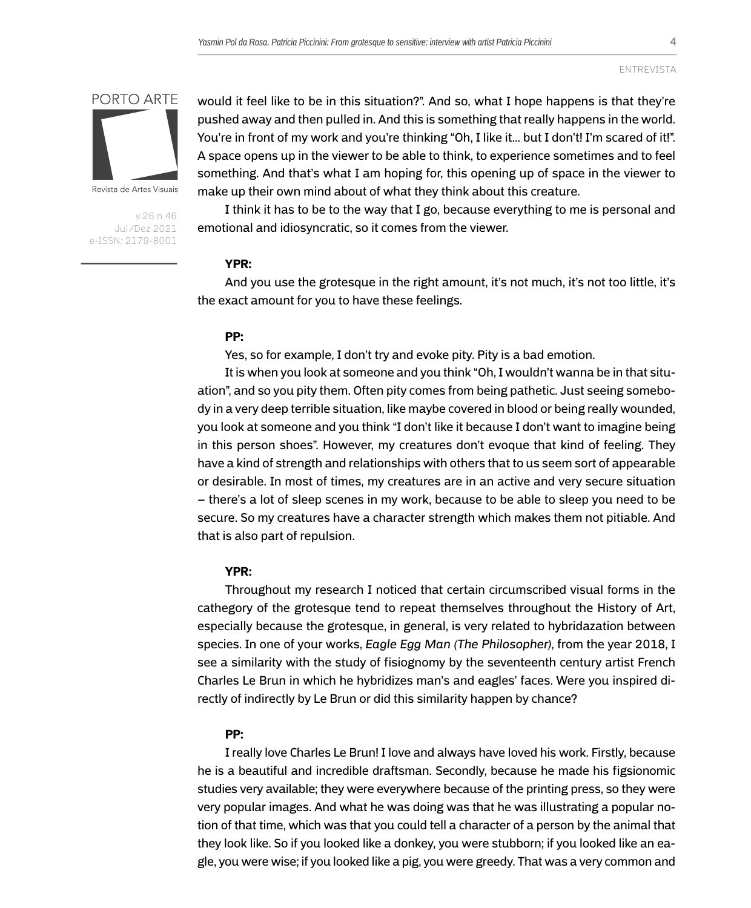

Revista de Artes Visuais

v.26 n.46 Jul/Dez 2021 e-ISSN: 2179-8001

would it feel like to be in this situation?". And so, what I hope happens is that they're pushed away and then pulled in. And this is something that really happens in the world. You're in front of my work and you're thinking "Oh, I like it... but I don't! I'm scared of it!". A space opens up in the viewer to be able to think, to experience sometimes and to feel something. And that's what I am hoping for, this opening up of space in the viewer to make up their own mind about of what they think about this creature.

I think it has to be to the way that I go, because everything to me is personal and emotional and idiosyncratic, so it comes from the viewer.

## **YPR:**

And you use the grotesque in the right amount, it's not much, it's not too little, it's the exact amount for you to have these feelings.

## **PP:**

Yes, so for example, I don't try and evoke pity. Pity is a bad emotion.

It is when you look at someone and you think "Oh, I wouldn't wanna be in that situation", and so you pity them. Often pity comes from being pathetic. Just seeing somebody in a very deep terrible situation, like maybe covered in blood or being really wounded, you look at someone and you think "I don't like it because I don't want to imagine being in this person shoes". However, my creatures don't evoque that kind of feeling. They have a kind of strength and relationships with others that to us seem sort of appearable or desirable. In most of times, my creatures are in an active and very secure situation – there's a lot of sleep scenes in my work, because to be able to sleep you need to be secure. So my creatures have a character strength which makes them not pitiable. And that is also part of repulsion.

#### **YPR:**

Throughout my research I noticed that certain circumscribed visual forms in the cathegory of the grotesque tend to repeat themselves throughout the History of Art, especially because the grotesque, in general, is very related to hybridazation between species. In one of your works, *Eagle Egg Man (The Philosopher)*, from the year 2018, I see a similarity with the study of fisiognomy by the seventeenth century artist French Charles Le Brun in which he hybridizes man's and eagles' faces. Were you inspired directly of indirectly by Le Brun or did this similarity happen by chance?

## **PP:**

I really love Charles Le Brun! I love and always have loved his work. Firstly, because he is a beautiful and incredible draftsman. Secondly, because he made his figsionomic studies very available; they were everywhere because of the printing press, so they were very popular images. And what he was doing was that he was illustrating a popular notion of that time, which was that you could tell a character of a person by the animal that they look like. So if you looked like a donkey, you were stubborn; if you looked like an eagle, you were wise; if you looked like a pig, you were greedy. That was a very common and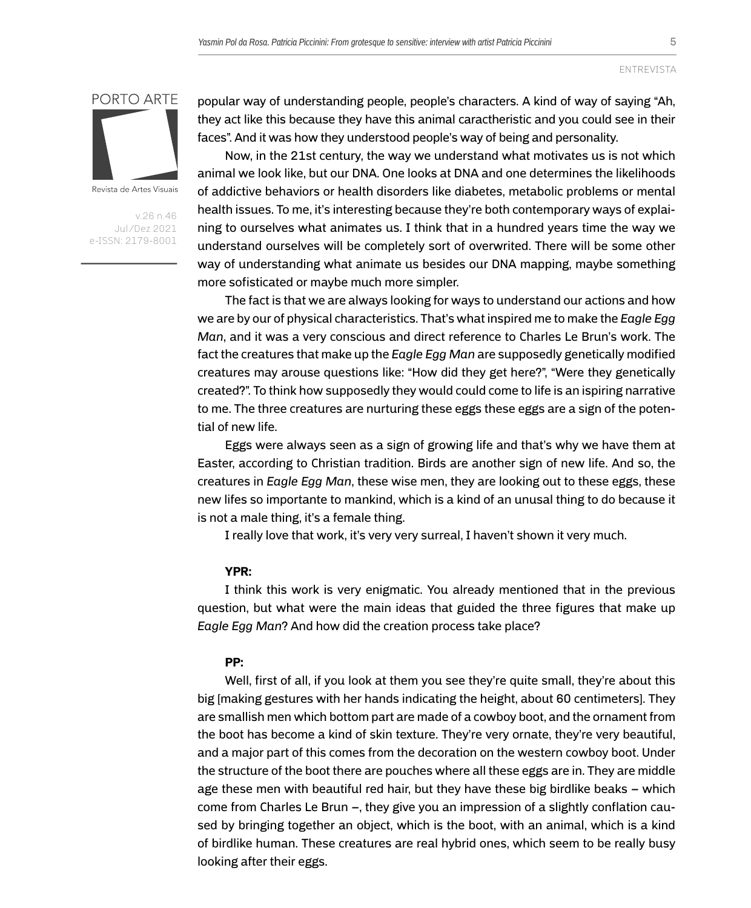

Revista de Artes Visuais

v.26 n.46 Jul/Dez 2021 e-ISSN: 2179-8001 popular way of understanding people, people's characters. A kind of way of saying "Ah, they act like this because they have this animal caractheristic and you could see in their faces". And it was how they understood people's way of being and personality.

Now, in the 21st century, the way we understand what motivates us is not which animal we look like, but our DNA. One looks at DNA and one determines the likelihoods of addictive behaviors or health disorders like diabetes, metabolic problems or mental health issues. To me, it's interesting because they're both contemporary ways of explaining to ourselves what animates us. I think that in a hundred years time the way we understand ourselves will be completely sort of overwrited. There will be some other way of understanding what animate us besides our DNA mapping, maybe something more sofisticated or maybe much more simpler.

The fact is that we are always looking for ways to understand our actions and how we are by our of physical characteristics. That's what inspired me to make the *Eagle Egg Man*, and it was a very conscious and direct reference to Charles Le Brun's work. The fact the creatures that make up the *Eagle Egg Man* are supposedly genetically modified creatures may arouse questions like: "How did they get here?", "Were they genetically created?". To think how supposedly they would could come to life is an ispiring narrative to me. The three creatures are nurturing these eggs these eggs are a sign of the potential of new life.

Eggs were always seen as a sign of growing life and that's why we have them at Easter, according to Christian tradition. Birds are another sign of new life. And so, the creatures in *Eagle Egg Man*, these wise men, they are looking out to these eggs, these new lifes so importante to mankind, which is a kind of an unusal thing to do because it is not a male thing, it's a female thing.

I really love that work, it's very very surreal, I haven't shown it very much.

#### **YPR:**

I think this work is very enigmatic. You already mentioned that in the previous question, but what were the main ideas that guided the three figures that make up *Eagle Egg Man*? And how did the creation process take place?

## **PP:**

Well, first of all, if you look at them you see they're quite small, they're about this big [making gestures with her hands indicating the height, about 60 centimeters]. They are smallish men which bottom part are made of a cowboy boot, and the ornament from the boot has become a kind of skin texture. They're very ornate, they're very beautiful, and a major part of this comes from the decoration on the western cowboy boot. Under the structure of the boot there are pouches where all these eggs are in. They are middle age these men with beautiful red hair, but they have these big birdlike beaks – which come from Charles Le Brun –, they give you an impression of a slightly conflation caused by bringing together an object, which is the boot, with an animal, which is a kind of birdlike human. These creatures are real hybrid ones, which seem to be really busy looking after their eggs.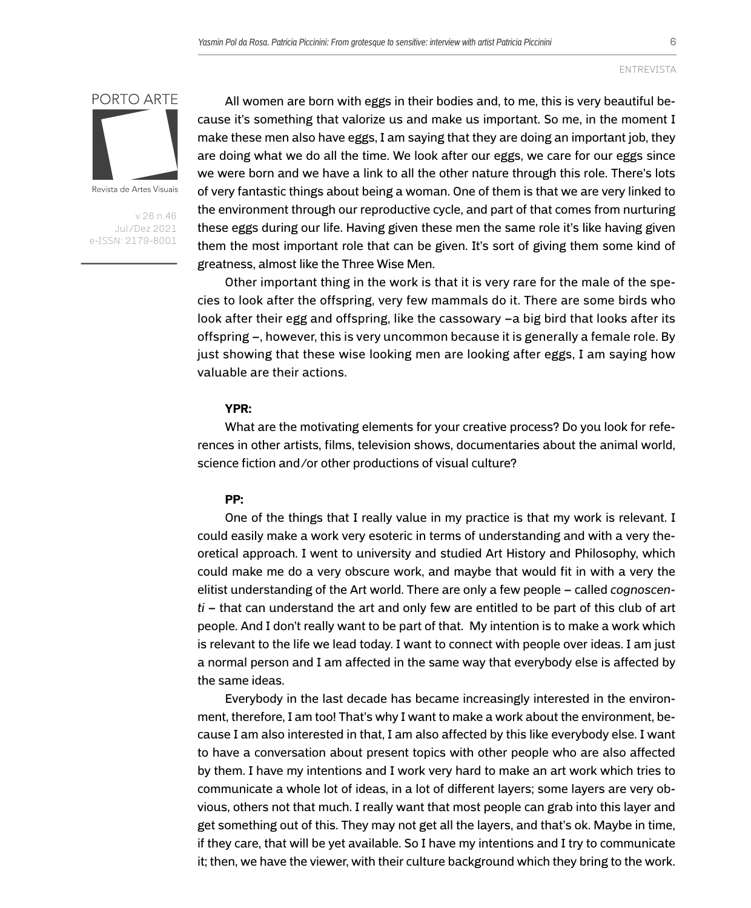

Revista de Artes Visuais

v.26 n.46 Jul/Dez 2021 e-ISSN: 2179-8001

All women are born with eggs in their bodies and, to me, this is very beautiful because it's something that valorize us and make us important. So me, in the moment I make these men also have eggs, I am saying that they are doing an important job, they are doing what we do all the time. We look after our eggs, we care for our eggs since we were born and we have a link to all the other nature through this role. There's lots of very fantastic things about being a woman. One of them is that we are very linked to the environment through our reproductive cycle, and part of that comes from nurturing these eggs during our life. Having given these men the same role it's like having given them the most important role that can be given. It's sort of giving them some kind of greatness, almost like the Three Wise Men.

Other important thing in the work is that it is very rare for the male of the species to look after the offspring, very few mammals do it. There are some birds who look after their egg and offspring, like the cassowary –a big bird that looks after its offspring –, however, this is very uncommon because it is generally a female role. By just showing that these wise looking men are looking after eggs, I am saying how valuable are their actions.

#### **YPR:**

What are the motivating elements for your creative process? Do you look for references in other artists, films, television shows, documentaries about the animal world, science fiction and/or other productions of visual culture?

#### **PP:**

One of the things that I really value in my practice is that my work is relevant. I could easily make a work very esoteric in terms of understanding and with a very theoretical approach. I went to university and studied Art History and Philosophy, which could make me do a very obscure work, and maybe that would fit in with a very the elitist understanding of the Art world. There are only a few people – called *cognoscenti* – that can understand the art and only few are entitled to be part of this club of art people. And I don't really want to be part of that. My intention is to make a work which is relevant to the life we lead today. I want to connect with people over ideas. I am just a normal person and I am affected in the same way that everybody else is affected by the same ideas.

Everybody in the last decade has became increasingly interested in the environment, therefore, I am too! That's why I want to make a work about the environment, because I am also interested in that, I am also affected by this like everybody else. I want to have a conversation about present topics with other people who are also affected by them. I have my intentions and I work very hard to make an art work which tries to communicate a whole lot of ideas, in a lot of different layers; some layers are very obvious, others not that much. I really want that most people can grab into this layer and get something out of this. They may not get all the layers, and that's ok. Maybe in time, if they care, that will be yet available. So I have my intentions and I try to communicate it; then, we have the viewer, with their culture background which they bring to the work.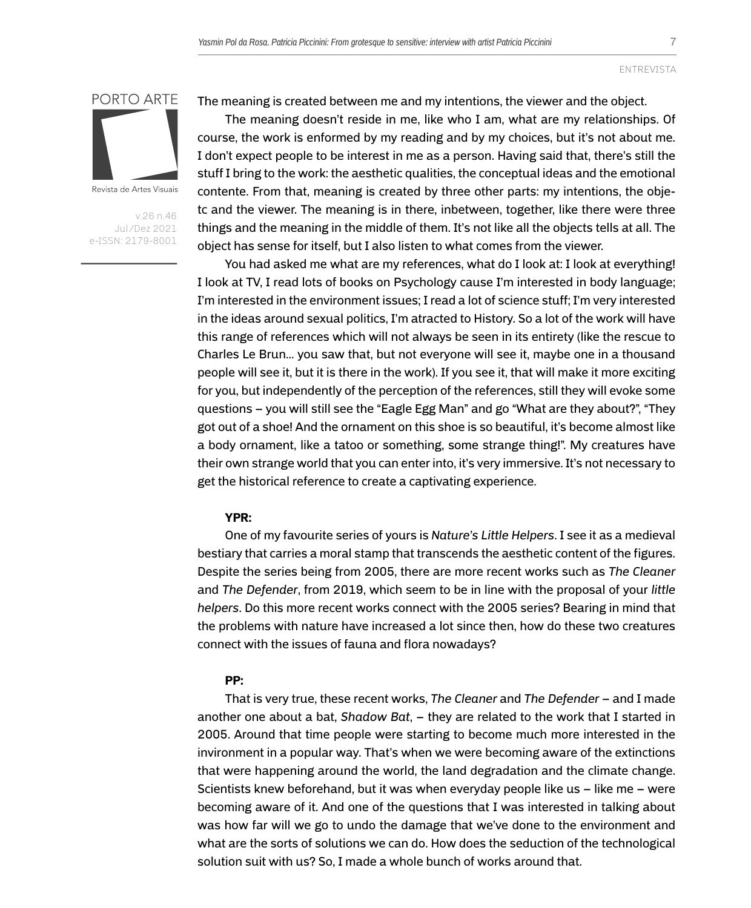

Revista de Artes Visuais

v.26 n.46 Jul/Dez 2021 e-ISSN: 2179-8001 The meaning is created between me and my intentions, the viewer and the object.

The meaning doesn't reside in me, like who I am, what are my relationships. Of course, the work is enformed by my reading and by my choices, but it's not about me. I don't expect people to be interest in me as a person. Having said that, there's still the stuff I bring to the work: the aesthetic qualities, the conceptual ideas and the emotional contente. From that, meaning is created by three other parts: my intentions, the objetc and the viewer. The meaning is in there, inbetween, together, like there were three things and the meaning in the middle of them. It's not like all the objects tells at all. The object has sense for itself, but I also listen to what comes from the viewer.

You had asked me what are my references, what do I look at: I look at everything! I look at TV, I read lots of books on Psychology cause I'm interested in body language; I'm interested in the environment issues; I read a lot of science stuff; I'm very interested in the ideas around sexual politics, I'm atracted to History. So a lot of the work will have this range of references which will not always be seen in its entirety (like the rescue to Charles Le Brun... you saw that, but not everyone will see it, maybe one in a thousand people will see it, but it is there in the work). If you see it, that will make it more exciting for you, but independently of the perception of the references, still they will evoke some questions – you will still see the "Eagle Egg Man" and go "What are they about?", "They got out of a shoe! And the ornament on this shoe is so beautiful, it's become almost like a body ornament, like a tatoo or something, some strange thing!". My creatures have their own strange world that you can enter into, it's very immersive. It's not necessary to get the historical reference to create a captivating experience.

## **YPR:**

One of my favourite series of yours is *Nature's Little Helpers*. I see it as a medieval bestiary that carries a moral stamp that transcends the aesthetic content of the figures. Despite the series being from 2005, there are more recent works such as *The Cleaner* and *The Defender*, from 2019, which seem to be in line with the proposal of your *little helpers*. Do this more recent works connect with the 2005 series? Bearing in mind that the problems with nature have increased a lot since then, how do these two creatures connect with the issues of fauna and flora nowadays?

## **PP:**

That is very true, these recent works, *The Cleaner* and *The Defender* – and I made another one about a bat, *Shadow Bat*, – they are related to the work that I started in 2005. Around that time people were starting to become much more interested in the invironment in a popular way. That's when we were becoming aware of the extinctions that were happening around the world, the land degradation and the climate change. Scientists knew beforehand, but it was when everyday people like us – like me – were becoming aware of it. And one of the questions that I was interested in talking about was how far will we go to undo the damage that we've done to the environment and what are the sorts of solutions we can do. How does the seduction of the technological solution suit with us? So, I made a whole bunch of works around that.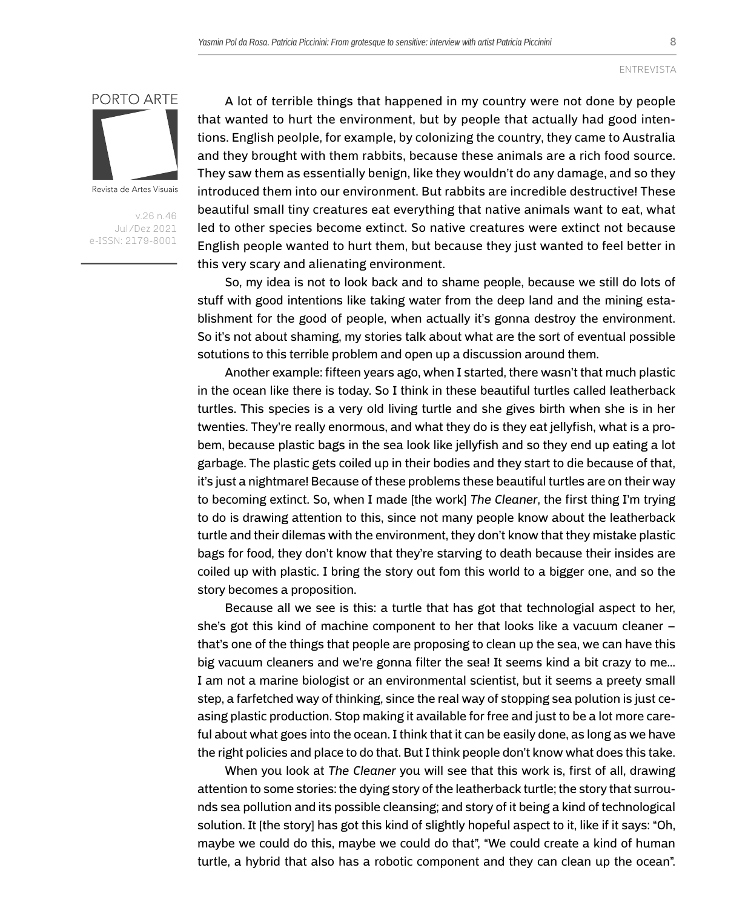

Revista de Artes Visuais

v.26 n.46 Jul/Dez 2021 e-ISSN: 2179-8001

A lot of terrible things that happened in my country were not done by people that wanted to hurt the environment, but by people that actually had good intentions. English peolple, for example, by colonizing the country, they came to Australia and they brought with them rabbits, because these animals are a rich food source. They saw them as essentially benign, like they wouldn't do any damage, and so they introduced them into our environment. But rabbits are incredible destructive! These beautiful small tiny creatures eat everything that native animals want to eat, what led to other species become extinct. So native creatures were extinct not because English people wanted to hurt them, but because they just wanted to feel better in this very scary and alienating environment.

So, my idea is not to look back and to shame people, because we still do lots of stuff with good intentions like taking water from the deep land and the mining establishment for the good of people, when actually it's gonna destroy the environment. So it's not about shaming, my stories talk about what are the sort of eventual possible sotutions to this terrible problem and open up a discussion around them.

Another example: fifteen years ago, when I started, there wasn't that much plastic in the ocean like there is today. So I think in these beautiful turtles called leatherback turtles. This species is a very old living turtle and she gives birth when she is in her twenties. They're really enormous, and what they do is they eat jellyfish, what is a probem, because plastic bags in the sea look like jellyfish and so they end up eating a lot garbage. The plastic gets coiled up in their bodies and they start to die because of that, it's just a nightmare! Because of these problems these beautiful turtles are on their way to becoming extinct. So, when I made [the work] *The Cleaner*, the first thing I'm trying to do is drawing attention to this, since not many people know about the leatherback turtle and their dilemas with the environment, they don't know that they mistake plastic bags for food, they don't know that they're starving to death because their insides are coiled up with plastic. I bring the story out fom this world to a bigger one, and so the story becomes a proposition.

Because all we see is this: a turtle that has got that technologial aspect to her, she's got this kind of machine component to her that looks like a vacuum cleaner – that's one of the things that people are proposing to clean up the sea, we can have this big vacuum cleaners and we're gonna filter the sea! It seems kind a bit crazy to me... I am not a marine biologist or an environmental scientist, but it seems a preety small step, a farfetched way of thinking, since the real way of stopping sea polution is just ceasing plastic production. Stop making it available for free and just to be a lot more careful about what goes into the ocean. I think that it can be easily done, as long as we have the right policies and place to do that. But I think people don't know what does this take.

When you look at *The Cleaner* you will see that this work is, first of all, drawing attention to some stories: the dying story of the leatherback turtle; the story that surrounds sea pollution and its possible cleansing; and story of it being a kind of technological solution. It [the story] has got this kind of slightly hopeful aspect to it, like if it says: "Oh, maybe we could do this, maybe we could do that", "We could create a kind of human turtle, a hybrid that also has a robotic component and they can clean up the ocean".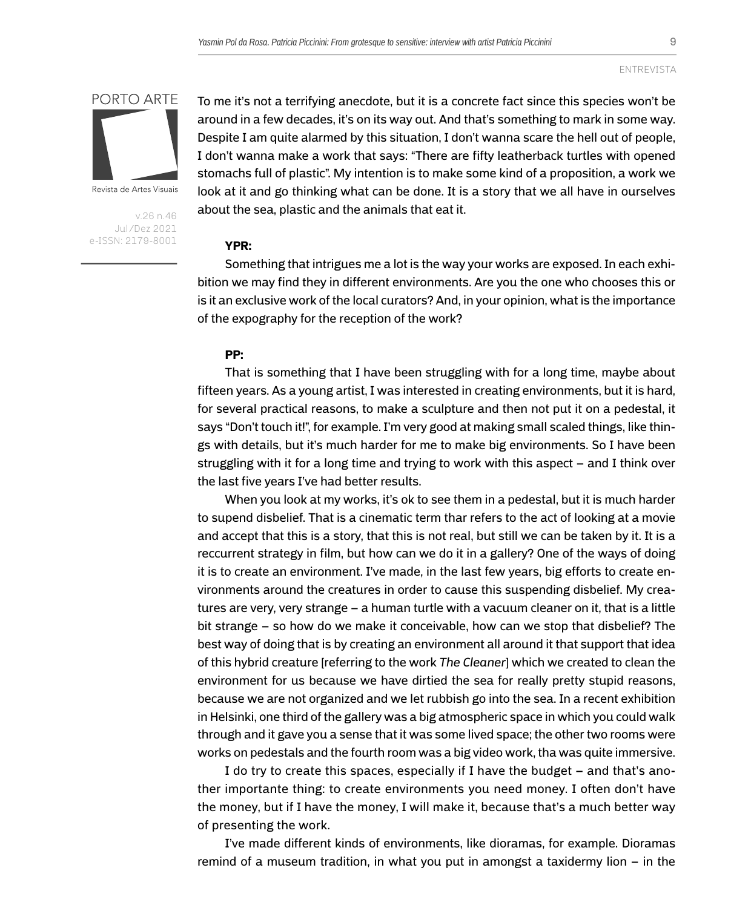

Revista de Artes Visuais

v.26 n.46 Jul/Dez 2021 e-ISSN: 2179-8001

To me it's not a terrifying anecdote, but it is a concrete fact since this species won't be around in a few decades, it's on its way out. And that's something to mark in some way. Despite I am quite alarmed by this situation, I don't wanna scare the hell out of people, I don't wanna make a work that says: "There are fifty leatherback turtles with opened stomachs full of plastic". My intention is to make some kind of a proposition, a work we look at it and go thinking what can be done. It is a story that we all have in ourselves about the sea, plastic and the animals that eat it.

#### **YPR:**

Something that intrigues me a lot is the way your works are exposed. In each exhibition we may find they in different environments. Are you the one who chooses this or is it an exclusive work of the local curators? And, in your opinion, what is the importance of the expography for the reception of the work?

## **PP:**

That is something that I have been struggling with for a long time, maybe about fifteen years. As a young artist, I was interested in creating environments, but it is hard, for several practical reasons, to make a sculpture and then not put it on a pedestal, it says "Don't touch it!", for example. I'm very good at making small scaled things, like things with details, but it's much harder for me to make big environments. So I have been struggling with it for a long time and trying to work with this aspect – and I think over the last five years I've had better results.

When you look at my works, it's ok to see them in a pedestal, but it is much harder to supend disbelief. That is a cinematic term thar refers to the act of looking at a movie and accept that this is a story, that this is not real, but still we can be taken by it. It is a reccurrent strategy in film, but how can we do it in a gallery? One of the ways of doing it is to create an environment. I've made, in the last few years, big efforts to create environments around the creatures in order to cause this suspending disbelief. My creatures are very, very strange – a human turtle with a vacuum cleaner on it, that is a little bit strange – so how do we make it conceivable, how can we stop that disbelief? The best way of doing that is by creating an environment all around it that support that idea of this hybrid creature [referring to the work *The Cleaner*] which we created to clean the environment for us because we have dirtied the sea for really pretty stupid reasons, because we are not organized and we let rubbish go into the sea. In a recent exhibition in Helsinki, one third of the gallery was a big atmospheric space in which you could walk through and it gave you a sense that it was some lived space; the other two rooms were works on pedestals and the fourth room was a big video work, tha was quite immersive.

I do try to create this spaces, especially if I have the budget – and that's another importante thing: to create environments you need money. I often don't have the money, but if I have the money, I will make it, because that's a much better way of presenting the work.

I've made different kinds of environments, like dioramas, for example. Dioramas remind of a museum tradition, in what you put in amongst a taxidermy lion – in the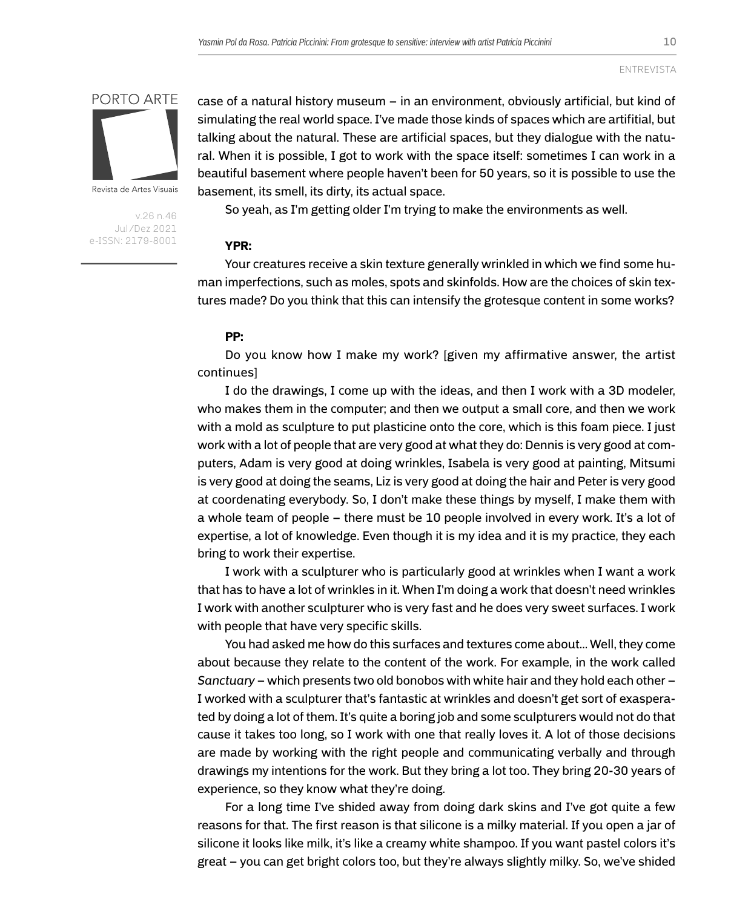

Revista de Artes Visuais

v.26 n.46 Jul/Dez 2021 e-ISSN: 2179-8001 case of a natural history museum – in an environment, obviously artificial, but kind of simulating the real world space. I've made those kinds of spaces which are artifitial, but talking about the natural. These are artificial spaces, but they dialogue with the natural. When it is possible, I got to work with the space itself: sometimes I can work in a beautiful basement where people haven't been for 50 years, so it is possible to use the basement, its smell, its dirty, its actual space.

So yeah, as I'm getting older I'm trying to make the environments as well.

## **YPR:**

Your creatures receive a skin texture generally wrinkled in which we find some human imperfections, such as moles, spots and skinfolds. How are the choices of skin textures made? Do you think that this can intensify the grotesque content in some works?

## **PP:**

Do you know how I make my work? [given my affirmative answer, the artist continues]

I do the drawings, I come up with the ideas, and then I work with a 3D modeler, who makes them in the computer; and then we output a small core, and then we work with a mold as sculpture to put plasticine onto the core, which is this foam piece. I just work with a lot of people that are very good at what they do: Dennis is very good at computers, Adam is very good at doing wrinkles, Isabela is very good at painting, Mitsumi is very good at doing the seams, Liz is very good at doing the hair and Peter is very good at coordenating everybody. So, I don't make these things by myself, I make them with a whole team of people – there must be 10 people involved in every work. It's a lot of expertise, a lot of knowledge. Even though it is my idea and it is my practice, they each bring to work their expertise.

I work with a sculpturer who is particularly good at wrinkles when I want a work that has to have a lot of wrinkles in it. When I'm doing a work that doesn't need wrinkles I work with another sculpturer who is very fast and he does very sweet surfaces. I work with people that have very specific skills.

You had asked me how do this surfaces and textures come about... Well, they come about because they relate to the content of the work. For example, in the work called *Sanctuary* – which presents two old bonobos with white hair and they hold each other – I worked with a sculpturer that's fantastic at wrinkles and doesn't get sort of exasperated by doing a lot of them. It's quite a boring job and some sculpturers would not do that cause it takes too long, so I work with one that really loves it. A lot of those decisions are made by working with the right people and communicating verbally and through drawings my intentions for the work. But they bring a lot too. They bring 20-30 years of experience, so they know what they're doing.

For a long time I've shided away from doing dark skins and I've got quite a few reasons for that. The first reason is that silicone is a milky material. If you open a jar of silicone it looks like milk, it's like a creamy white shampoo. If you want pastel colors it's great – you can get bright colors too, but they're always slightly milky. So, we've shided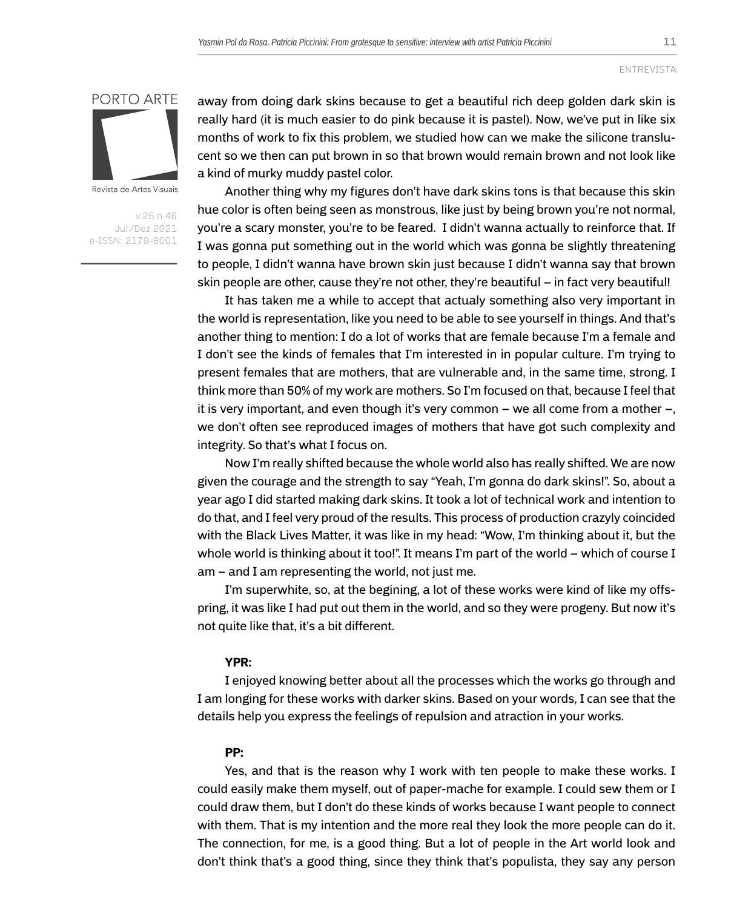11



Revista de Artes Visuais

v.26 n.46 Jul/Dez 2021 e-ISSN: 2179-8001 away from doing dark skins because to get a beautiful rich deep golden dark skin is really hard (it is much easier to do pink because it is pastel). Now, we've put in like six months of work to fix this problem, we studied how can we make the silicone translucent so we then can put brown in so that brown would remain brown and not look like a kind of murky muddy pastel color.

Another thing why my figures don't have dark skins tons is that because this skin hue color is often being seen as monstrous, like just by being brown you're not normal, you're a scary monster, you're to be feared. I didn't wanna actually to reinforce that. If I was gonna put something out in the world which was gonna be slightly threatening to people, I didn't wanna have brown skin just because I didn't wanna say that brown skin people are other, cause they're not other, they're beautiful – in fact very beautiful!

It has taken me a while to accept that actualy something also very important in the world is representation, like you need to be able to see yourself in things. And that's another thing to mention: I do a lot of works that are female because I'm a female and I don't see the kinds of females that I'm interested in in popular culture. I'm trying to present females that are mothers, that are vulnerable and, in the same time, strong. I think more than 50% of my work are mothers. So I'm focused on that, because I feel that it is very important, and even though it's very common – we all come from a mother –, we don't often see reproduced images of mothers that have got such complexity and integrity. So that's what I focus on.

Now I'm really shifted because the whole world also has really shifted. We are now given the courage and the strength to say "Yeah, I'm gonna do dark skins!". So, about a year ago I did started making dark skins. It took a lot of technical work and intention to do that, and I feel very proud of the results. This process of production crazyly coincided with the Black Lives Matter, it was like in my head: "Wow, I'm thinking about it, but the whole world is thinking about it too!". It means I'm part of the world – which of course I am – and I am representing the world, not just me.

I'm superwhite, so, at the begining, a lot of these works were kind of like my offspring, it was like I had put out them in the world, and so they were progeny. But now it's not quite like that, it's a bit different.

#### **YPR:**

I enjoyed knowing better about all the processes which the works go through and I am longing for these works with darker skins. Based on your words, I can see that the details help you express the feelings of repulsion and atraction in your works.

## **PP:**

Yes, and that is the reason why I work with ten people to make these works. I could easily make them myself, out of paper-mache for example. I could sew them or I could draw them, but I don't do these kinds of works because I want people to connect with them. That is my intention and the more real they look the more people can do it. The connection, for me, is a good thing. But a lot of people in the Art world look and don't think that's a good thing, since they think that's populista, they say any person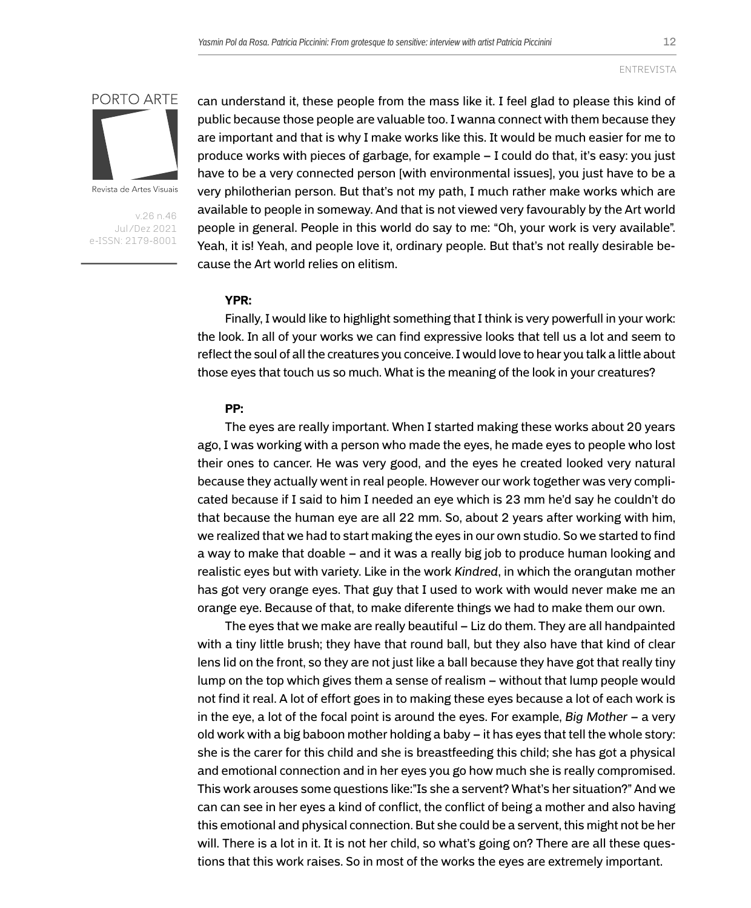

Revista de Artes Visuais

v.26 n.46 Jul/Dez 2021 e-ISSN: 2179-8001 can understand it, these people from the mass like it. I feel glad to please this kind of public because those people are valuable too. I wanna connect with them because they are important and that is why I make works like this. It would be much easier for me to produce works with pieces of garbage, for example – I could do that, it's easy: you just have to be a very connected person [with environmental issues], you just have to be a very philotherian person. But that's not my path, I much rather make works which are available to people in someway. And that is not viewed very favourably by the Art world people in general. People in this world do say to me: "Oh, your work is very available". Yeah, it is! Yeah, and people love it, ordinary people. But that's not really desirable because the Art world relies on elitism.

## **YPR:**

Finally, I would like to highlight something that I think is very powerfull in your work: the look. In all of your works we can find expressive looks that tell us a lot and seem to reflect the soul of all the creatures you conceive. I would love to hear you talk a little about those eyes that touch us so much. What is the meaning of the look in your creatures?

#### **PP:**

The eyes are really important. When I started making these works about 20 years ago, I was working with a person who made the eyes, he made eyes to people who lost their ones to cancer. He was very good, and the eyes he created looked very natural because they actually went in real people. However our work together was very complicated because if I said to him I needed an eye which is 23 mm he'd say he couldn't do that because the human eye are all 22 mm. So, about 2 years after working with him, we realized that we had to start making the eyes in our own studio. So we started to find a way to make that doable – and it was a really big job to produce human looking and realistic eyes but with variety. Like in the work *Kindred*, in which the orangutan mother has got very orange eyes. That guy that I used to work with would never make me an orange eye. Because of that, to make diferente things we had to make them our own.

The eyes that we make are really beautiful – Liz do them. They are all handpainted with a tiny little brush; they have that round ball, but they also have that kind of clear lens lid on the front, so they are not just like a ball because they have got that really tiny lump on the top which gives them a sense of realism – without that lump people would not find it real. A lot of effort goes in to making these eyes because a lot of each work is in the eye, a lot of the focal point is around the eyes. For example, *Big Mother* – a very old work with a big baboon mother holding a baby – it has eyes that tell the whole story: she is the carer for this child and she is breastfeeding this child; she has got a physical and emotional connection and in her eyes you go how much she is really compromised. This work arouses some questions like:"Is she a servent? What's her situation?" And we can can see in her eyes a kind of conflict, the conflict of being a mother and also having this emotional and physical connection. But she could be a servent, this might not be her will. There is a lot in it. It is not her child, so what's going on? There are all these questions that this work raises. So in most of the works the eyes are extremely important.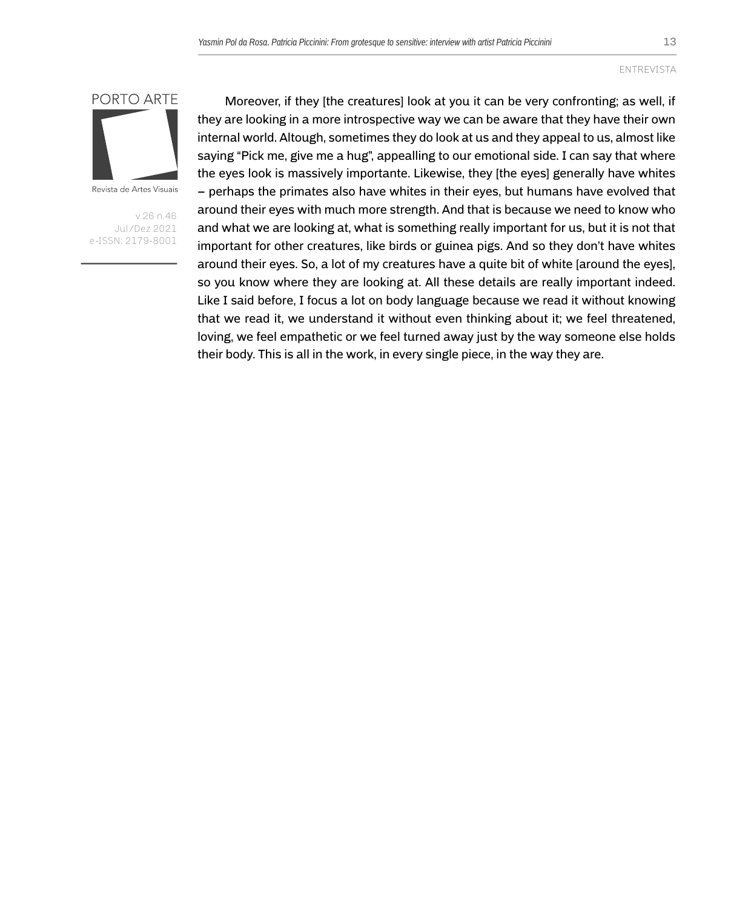

Revista de Artes Visuais

v.26 n.46 Jul/Dez 2021 e-ISSN: 2179-8001

Moreover, if they [the creatures] look at you it can be very confronting; as well, if they are looking in a more introspective way we can be aware that they have their own internal world. Altough, sometimes they do look at us and they appeal to us, almost like saying "Pick me, give me a hug", appealling to our emotional side. I can say that where the eyes look is massively importante. Likewise, they [the eyes] generally have whites – perhaps the primates also have whites in their eyes, but humans have evolved that around their eyes with much more strength. And that is because we need to know who and what we are looking at, what is something really important for us, but it is not that important for other creatures, like birds or guinea pigs. And so they don't have whites around their eyes. So, a lot of my creatures have a quite bit of white [around the eyes], so you know where they are looking at. All these details are really important indeed. Like I said before, I focus a lot on body language because we read it without knowing that we read it, we understand it without even thinking about it; we feel threatened, loving, we feel empathetic or we feel turned away just by the way someone else holds their body. This is all in the work, in every single piece, in the way they are.